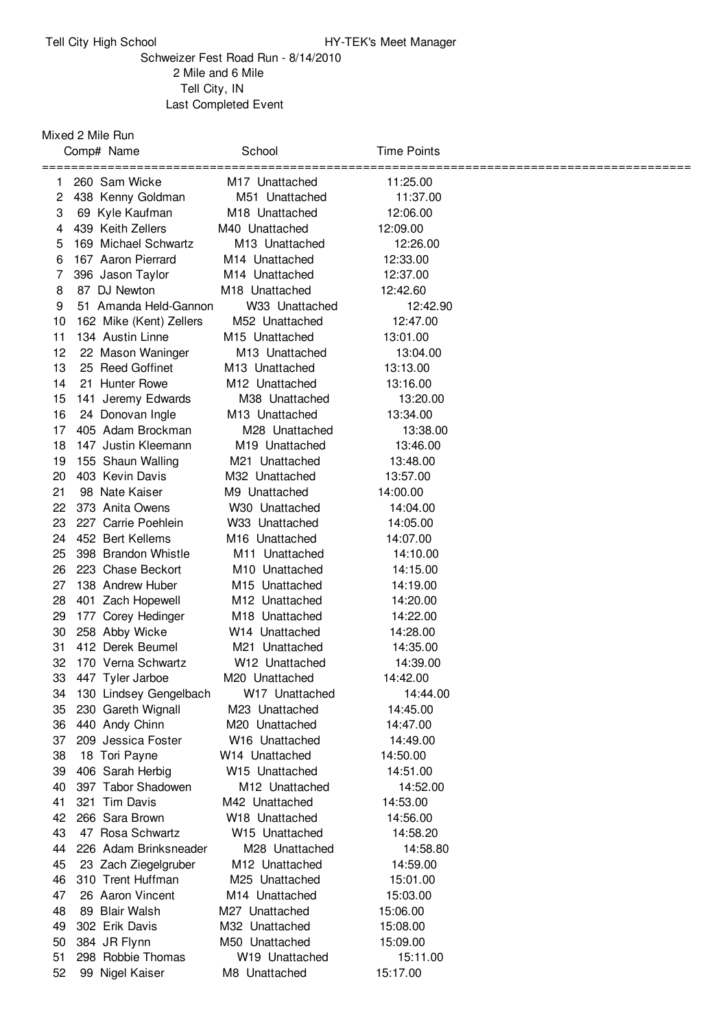## Tell City High School **HY-TEK's Meet Manager**

Schweizer Fest Road Run - 8/14/2010 Mile and 6 Mile Tell City, IN Last Completed Event

## Mixed 2 Mile Run

|          | Comp# Name                        | School                           | Time Points          |  |
|----------|-----------------------------------|----------------------------------|----------------------|--|
| 1.       | 260 Sam Wicke                     | ============<br>M17 Unattached   | =======<br>11:25.00  |  |
| 2        | 438 Kenny Goldman                 | M51 Unattached                   | 11:37.00             |  |
| 3        | 69 Kyle Kaufman                   | M <sub>18</sub> Unattached       | 12:06.00             |  |
| 4        | 439 Keith Zellers                 | M40 Unattached                   | 12:09.00             |  |
| 5        | 169 Michael Schwartz              | M <sub>13</sub> Unattached       | 12:26.00             |  |
| 6        | 167 Aaron Pierrard                | M <sub>14</sub> Unattached       | 12:33.00             |  |
| 7        | 396 Jason Taylor                  | M <sub>14</sub> Unattached       | 12:37.00             |  |
| 8        | 87 DJ Newton                      | M <sub>18</sub> Unattached       | 12:42.60             |  |
| 9        | 51 Amanda Held-Gannon             | W33 Unattached                   | 12:42.90             |  |
| 10       | 162 Mike (Kent) Zellers           | M52 Unattached                   | 12:47.00             |  |
| 11       | 134 Austin Linne                  | M <sub>15</sub> Unattached       | 13:01.00             |  |
| 12       | 22 Mason Waninger                 | M <sub>13</sub> Unattached       | 13:04.00             |  |
| 13       | 25 Reed Goffinet                  | M <sub>13</sub> Unattached       | 13:13.00             |  |
| 14       | 21 Hunter Rowe                    | M <sub>12</sub> Unattached       | 13:16.00             |  |
| 15       | 141 Jeremy Edwards                | M38 Unattached                   | 13:20.00             |  |
| 16       | 24 Donovan Ingle                  | M <sub>13</sub> Unattached       | 13:34.00             |  |
| 17       | 405 Adam Brockman                 | M28 Unattached                   | 13:38.00             |  |
| 18       | 147 Justin Kleemann               | M <sub>19</sub> Unattached       | 13:46.00             |  |
| 19       | 155 Shaun Walling                 | M21 Unattached                   | 13:48.00             |  |
| 20       | 403 Kevin Davis                   | M32 Unattached                   | 13:57.00             |  |
| 21       | 98 Nate Kaiser                    | M9 Unattached                    | 14:00.00             |  |
| 22       | 373 Anita Owens                   | W30 Unattached                   | 14:04.00             |  |
| 23       | 227 Carrie Poehlein               | W33 Unattached                   | 14:05.00             |  |
| 24       | 452 Bert Kellems                  | M <sub>16</sub> Unattached       | 14:07.00             |  |
| 25       | 398 Brandon Whistle               | M <sub>11</sub> Unattached       | 14:10.00             |  |
| 26       | 223 Chase Beckort                 | M <sub>10</sub> Unattached       | 14:15.00             |  |
| 27       | 138 Andrew Huber                  | M <sub>15</sub> Unattached       | 14:19.00             |  |
| 28       | 401 Zach Hopewell                 | M <sub>12</sub> Unattached       | 14:20.00             |  |
| 29       | 177 Corey Hedinger                | M <sub>18</sub> Unattached       | 14:22.00             |  |
| 30       | 258 Abby Wicke                    | W <sub>14</sub> Unattached       | 14:28.00             |  |
| 31       | 412 Derek Beumel                  | M21 Unattached                   | 14:35.00             |  |
| 32       | 170 Verna Schwartz                | W <sub>12</sub> Unattached       | 14:39.00             |  |
| 33       | 447 Tyler Jarboe                  | M20 Unattached                   | 14:42.00             |  |
|          | 34 130 Lindsey Gengelbach         | W <sub>17</sub> Unattached       | 14:44.00             |  |
| 35       | 230 Gareth Wignall                | M23 Unattached                   | 14:45.00             |  |
| 36       | 440 Andy Chinn                    | M20 Unattached                   | 14:47.00             |  |
| 37<br>38 | 209 Jessica Foster                | W16 Unattached<br>W14 Unattached | 14:49.00<br>14:50.00 |  |
| 39       | 18 Tori Payne<br>406 Sarah Herbig | W15 Unattached                   | 14:51.00             |  |
| 40       | 397 Tabor Shadowen                | M12 Unattached                   | 14:52.00             |  |
| 41       | 321 Tim Davis                     | M42 Unattached                   | 14:53.00             |  |
| 42       | 266 Sara Brown                    | W18 Unattached                   | 14:56.00             |  |
| 43       | 47 Rosa Schwartz                  | W <sub>15</sub> Unattached       | 14:58.20             |  |
| 44       | 226 Adam Brinksneader             | M28 Unattached                   | 14:58.80             |  |
| 45       | 23 Zach Ziegelgruber              | M <sub>12</sub> Unattached       | 14:59.00             |  |
| 46       | 310 Trent Huffman                 | M25 Unattached                   | 15:01.00             |  |
| 47       | 26 Aaron Vincent                  | M14 Unattached                   | 15:03.00             |  |
| 48       | 89 Blair Walsh                    | M27 Unattached                   | 15:06.00             |  |
| 49       | 302 Erik Davis                    | M32 Unattached                   | 15:08.00             |  |
| 50       | 384 JR Flynn                      | M50 Unattached                   | 15:09.00             |  |
| 51       | 298 Robbie Thomas                 | W19 Unattached                   | 15:11.00             |  |
| 52       | 99 Nigel Kaiser                   | M8 Unattached                    | 15:17.00             |  |
|          |                                   |                                  |                      |  |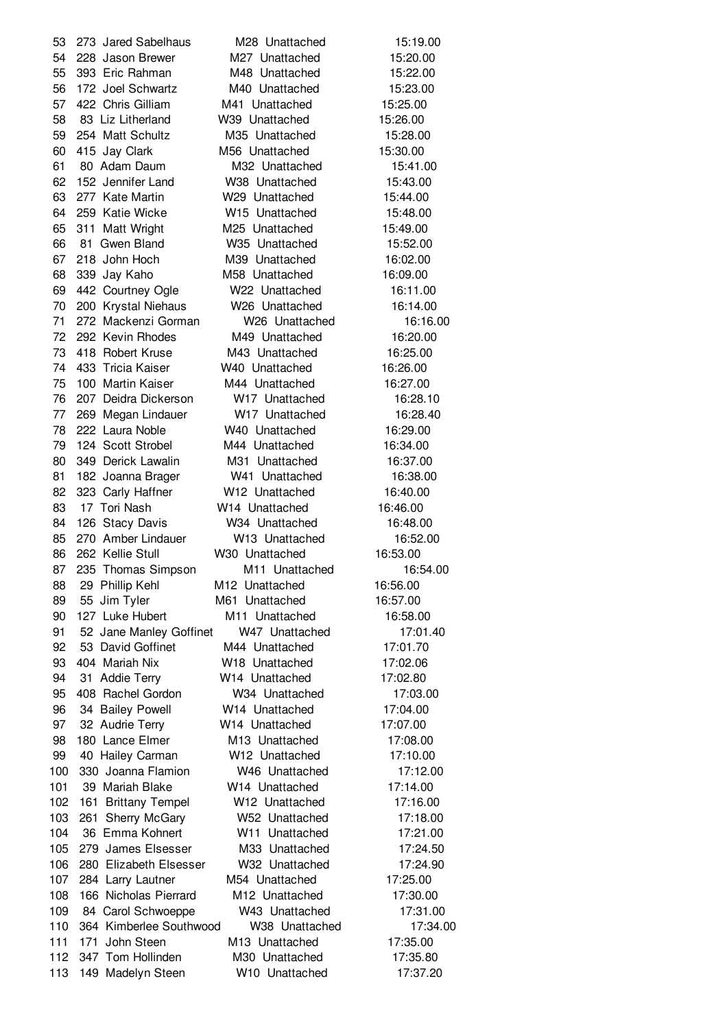273 Jared Sabelhaus M28 Unattached 15:19.00 228 Jason Brewer M27 Unattached 15:20.00 393 Eric Rahman M48 Unattached 15:22.00 172 Joel Schwartz M40 Unattached 15:23.00 422 Chris Gilliam M41 Unattached 15:25.00 83 Liz Litherland W39 Unattached 15:26.00 254 Matt Schultz M35 Unattached 15:28.00 415 Jay Clark M56 Unattached 15:30.00 80 Adam Daum M32 Unattached 15:41.00 152 Jennifer Land W38 Unattached 15:43.00 277 Kate Martin W29 Unattached 15:44.00 259 Katie Wicke W15 Unattached 15:48.00 311 Matt Wright M25 Unattached 15:49.00 81 Gwen Bland W35 Unattached 15:52.00 218 John Hoch M39 Unattached 16:02.00 339 Jay Kaho M58 Unattached 16:09.00 442 Courtney Ogle W22 Unattached 16:11.00 200 Krystal Niehaus W26 Unattached 16:14.00 272 Mackenzi Gorman W26 Unattached 16:16.00 292 Kevin Rhodes M49 Unattached 16:20.00 418 Robert Kruse M43 Unattached 16:25.00 433 Tricia Kaiser W40 Unattached 16:26.00 100 Martin Kaiser M44 Unattached 16:27.00 207 Deidra Dickerson W17 Unattached 16:28.10 269 Megan Lindauer W17 Unattached 16:28.40 222 Laura Noble W40 Unattached 16:29.00 124 Scott Strobel M44 Unattached 16:34.00 349 Derick Lawalin M31 Unattached 16:37.00 182 Joanna Brager W41 Unattached 16:38.00 323 Carly Haffner W12 Unattached 16:40.00 17 Tori Nash W14 Unattached 16:46.00 126 Stacy Davis W34 Unattached 16:48.00 270 Amber Lindauer W13 Unattached 16:52.00 262 Kellie Stull W30 Unattached 16:53.00 87 235 Thomas Simpson M11 Unattached 16:54.00 29 Phillip Kehl M12 Unattached 16:56.00 55 Jim Tyler M61 Unattached 16:57.00 127 Luke Hubert M11 Unattached 16:58.00 91 52 Jane Manley Goffinet W47 Unattached 17:01.40 92 53 David Goffinet M44 Unattached 17:01.70 404 Mariah Nix W18 Unattached 17:02.06 31 Addie Terry W14 Unattached 17:02.80 408 Rachel Gordon W34 Unattached 17:03.00 34 Bailey Powell W14 Unattached 17:04.00 97 32 Audrie Terry W14 Unattached 17:07.00 180 Lance Elmer M13 Unattached 17:08.00 40 Hailey Carman W12 Unattached 17:10.00 330 Joanna Flamion W46 Unattached 17:12.00 39 Mariah Blake W14 Unattached 17:14.00 161 Brittany Tempel W12 Unattached 17:16.00 261 Sherry McGary W52 Unattached 17:18.00 36 Emma Kohnert W11 Unattached 17:21.00 279 James Elsesser M33 Unattached 17:24.50 280 Elizabeth Elsesser W32 Unattached 17:24.90 284 Larry Lautner M54 Unattached 17:25.00 166 Nicholas Pierrard M12 Unattached 17:30.00 84 Carol Schwoeppe W43 Unattached 17:31.00 364 Kimberlee Southwood W38 Unattached 17:34.00 171 John Steen M13 Unattached 17:35.00 112 347 Tom Hollinden M30 Unattached 17:35.80 149 Madelyn Steen W10 Unattached 17:37.20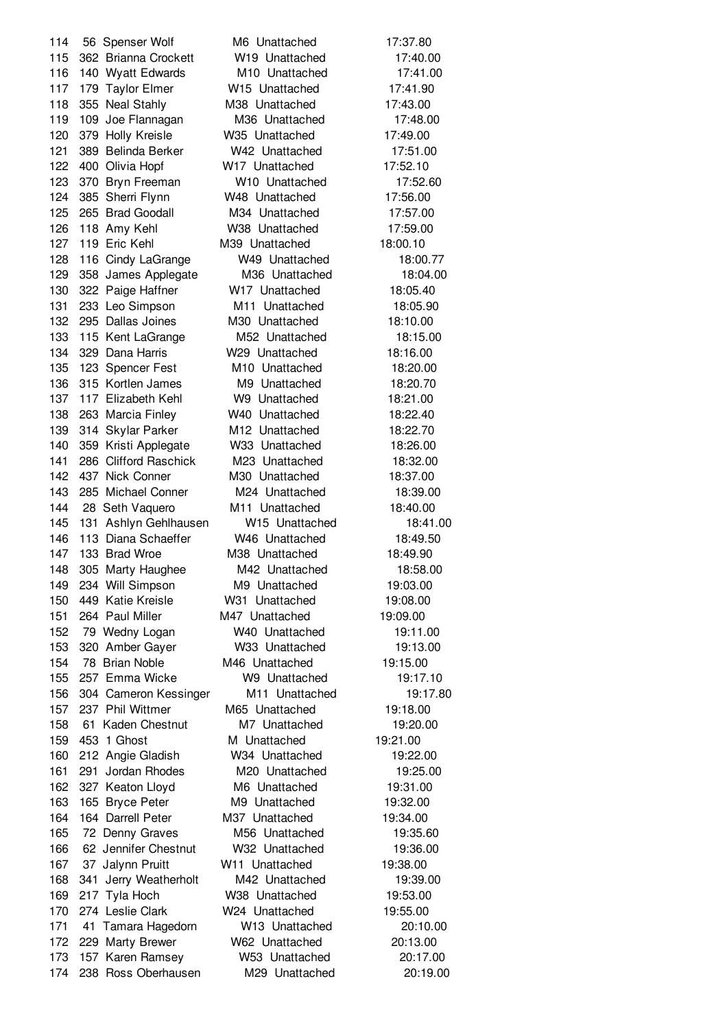114 56 Spenser Wolf M6 Unattached 17:37.80 362 Brianna Crockett W19 Unattached 17:40.00 140 Wyatt Edwards M10 Unattached 17:41.00 179 Taylor Elmer W15 Unattached 17:41.90 355 Neal Stahly M38 Unattached 17:43.00 109 Joe Flannagan M36 Unattached 17:48.00 379 Holly Kreisle W35 Unattached 17:49.00 389 Belinda Berker W42 Unattached 17:51.00 400 Olivia Hopf W17 Unattached 17:52.10 370 Bryn Freeman W10 Unattached 17:52.60 385 Sherri Flynn W48 Unattached 17:56.00 265 Brad Goodall M34 Unattached 17:57.00 118 Amy Kehl W38 Unattached 17:59.00 119 Eric Kehl M39 Unattached 18:00.10 116 Cindy LaGrange W49 Unattached 18:00.77 358 James Applegate M36 Unattached 18:04.00 322 Paige Haffner W17 Unattached 18:05.40 233 Leo Simpson M11 Unattached 18:05.90 295 Dallas Joines M30 Unattached 18:10.00 115 Kent LaGrange M52 Unattached 18:15.00 329 Dana Harris W29 Unattached 18:16.00 123 Spencer Fest M10 Unattached 18:20.00 315 Kortlen James M9 Unattached 18:20.70 117 Elizabeth Kehl W9 Unattached 18:21.00 263 Marcia Finley W40 Unattached 18:22.40 314 Skylar Parker M12 Unattached 18:22.70 359 Kristi Applegate W33 Unattached 18:26.00 286 Clifford Raschick M23 Unattached 18:32.00 437 Nick Conner M30 Unattached 18:37.00 285 Michael Conner M24 Unattached 18:39.00 28 Seth Vaquero M11 Unattached 18:40.00 131 Ashlyn Gehlhausen W15 Unattached 18:41.00 113 Diana Schaeffer W46 Unattached 18:49.50 133 Brad Wroe M38 Unattached 18:49.90 305 Marty Haughee M42 Unattached 18:58.00 234 Will Simpson M9 Unattached 19:03.00 449 Katie Kreisle W31 Unattached 19:08.00 264 Paul Miller M47 Unattached 19:09.00 79 Wedny Logan W40 Unattached 19:11.00 320 Amber Gayer W33 Unattached 19:13.00 78 Brian Noble M46 Unattached 19:15.00 257 Emma Wicke W9 Unattached 19:17.10 156 304 Cameron Kessinger M11 Unattached 19:17.80 237 Phil Wittmer M65 Unattached 19:18.00 61 Kaden Chestnut M7 Unattached 19:20.00 159 453 1 Ghost M Unattached 19:21.00 212 Angie Gladish W34 Unattached 19:22.00 291 Jordan Rhodes M20 Unattached 19:25.00 162 327 Keaton Lloyd M6 Unattached 19:31.00 165 Bryce Peter M9 Unattached 19:32.00 164 Darrell Peter M37 Unattached 19:34.00 165 72 Denny Graves M56 Unattached 19:35.60 62 Jennifer Chestnut W32 Unattached 19:36.00 37 Jalynn Pruitt W11 Unattached 19:38.00 341 Jerry Weatherholt M42 Unattached 19:39.00 217 Tyla Hoch W38 Unattached 19:53.00 274 Leslie Clark W24 Unattached 19:55.00 41 Tamara Hagedorn W13 Unattached 20:10.00 229 Marty Brewer W62 Unattached 20:13.00 157 Karen Ramsey W53 Unattached 20:17.00 238 Ross Oberhausen M29 Unattached 20:19.00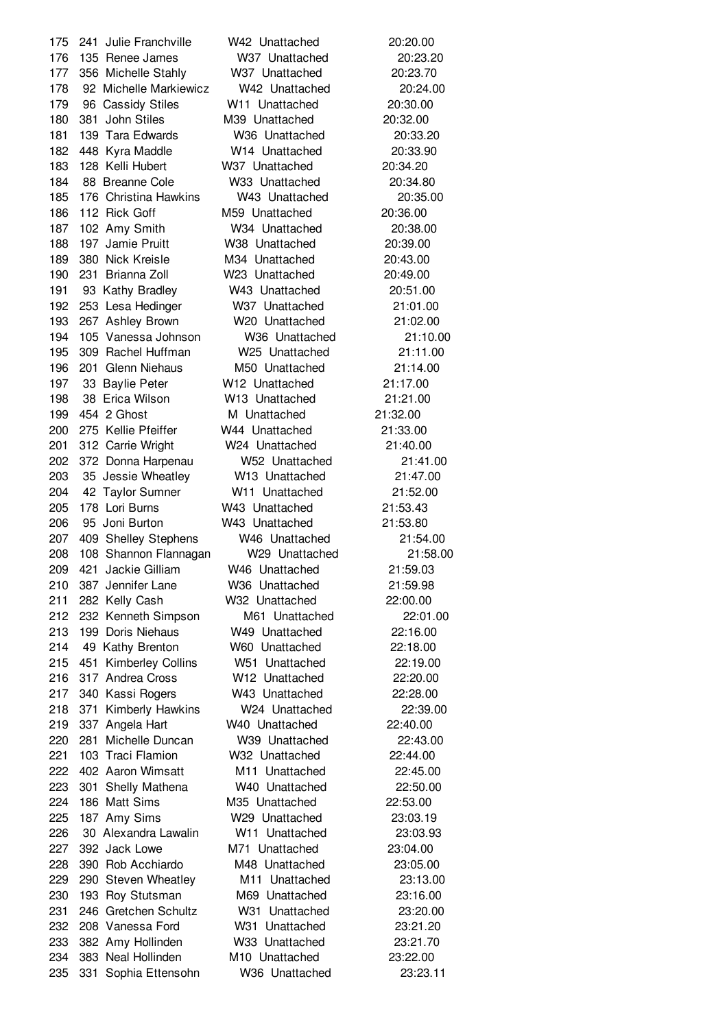241 Julie Franchville W42 Unattached 20:20.00 135 Renee James W37 Unattached 20:23.20 356 Michelle Stahly W37 Unattached 20:23.70 92 Michelle Markiewicz W42 Unattached 20:24.00 96 Cassidy Stiles W11 Unattached 20:30.00 381 John Stiles M39 Unattached 20:32.00 139 Tara Edwards W36 Unattached 20:33.20 448 Kyra Maddle W14 Unattached 20:33.90 128 Kelli Hubert W37 Unattached 20:34.20 88 Breanne Cole W33 Unattached 20:34.80 176 Christina Hawkins W43 Unattached 20:35.00 112 Rick Goff M59 Unattached 20:36.00 102 Amy Smith W34 Unattached 20:38.00 197 Jamie Pruitt W38 Unattached 20:39.00 380 Nick Kreisle M34 Unattached 20:43.00 231 Brianna Zoll W23 Unattached 20:49.00 93 Kathy Bradley W43 Unattached 20:51.00 253 Lesa Hedinger W37 Unattached 21:01.00 267 Ashley Brown W20 Unattached 21:02.00 105 Vanessa Johnson W36 Unattached 21:10.00 309 Rachel Huffman W25 Unattached 21:11.00 201 Glenn Niehaus M50 Unattached 21:14.00 33 Baylie Peter W12 Unattached 21:17.00 38 Erica Wilson W13 Unattached 21:21.00 454 2 Ghost M Unattached 21:32.00 275 Kellie Pfeiffer W44 Unattached 21:33.00 312 Carrie Wright W24 Unattached 21:40.00 372 Donna Harpenau W52 Unattached 21:41.00 35 Jessie Wheatley W13 Unattached 21:47.00 42 Taylor Sumner W11 Unattached 21:52.00 178 Lori Burns W43 Unattached 21:53.43 95 Joni Burton W43 Unattached 21:53.80 409 Shelley Stephens W46 Unattached 21:54.00 108 Shannon Flannagan W29 Unattached 21:58.00 421 Jackie Gilliam W46 Unattached 21:59.03 387 Jennifer Lane W36 Unattached 21:59.98 282 Kelly Cash W32 Unattached 22:00.00 232 Kenneth Simpson M61 Unattached 22:01.00 199 Doris Niehaus W49 Unattached 22:16.00 49 Kathy Brenton W60 Unattached 22:18.00 451 Kimberley Collins W51 Unattached 22:19.00 317 Andrea Cross W12 Unattached 22:20.00 340 Kassi Rogers W43 Unattached 22:28.00 371 Kimberly Hawkins W24 Unattached 22:39.00 337 Angela Hart W40 Unattached 22:40.00 281 Michelle Duncan W39 Unattached 22:43.00 103 Traci Flamion W32 Unattached 22:44.00 402 Aaron Wimsatt M11 Unattached 22:45.00 301 Shelly Mathena W40 Unattached 22:50.00 186 Matt Sims M35 Unattached 22:53.00 187 Amy Sims W29 Unattached 23:03.19 30 Alexandra Lawalin W11 Unattached 23:03.93 392 Jack Lowe M71 Unattached 23:04.00 390 Rob Acchiardo M48 Unattached 23:05.00 290 Steven Wheatley M11 Unattached 23:13.00 193 Roy Stutsman M69 Unattached 23:16.00 246 Gretchen Schultz W31 Unattached 23:20.00 208 Vanessa Ford W31 Unattached 23:21.20 382 Amy Hollinden W33 Unattached 23:21.70 383 Neal Hollinden M10 Unattached 23:22.00 331 Sophia Ettensohn W36 Unattached 23:23.11